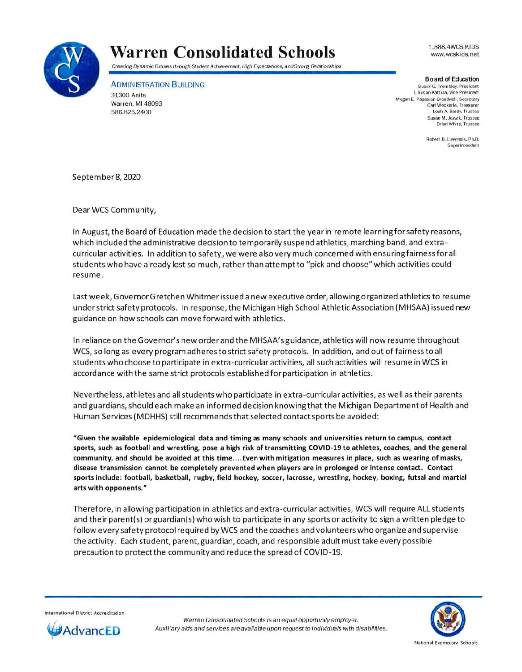

## **Warren Consolidated Schools**

Creating Dynamic Futures through Student Achievement, High Expectations, and Strorg Relatiorships

ADMINISTRATION BUILDING 31300 Anita Warren, Ml 48093

586.825.2400

1.888.4WCS.KIDS www.wcskids.net

**Board of Education** Susan G. Trombley. President I. Susan Kattula. Vice President Megan E. Papasian-Broadwell, Secretary Carl Weckerle, Treasurer Leah A. Berdy. Trustee Susan M. Jozwik. Trustee Brian White. Trustee

> Robert D. Livernois, Ph.D. **Superintendent**

September 8, 2020

Dear WCS Community,

In August, the Board of Education made the decision to start the year in remote learning for safety reasons, which included the administrative decision to temporarily suspend athletics, marching band, and extracurricular activities. In addition to safety, we were also very much concerned with ensuring fairness for all students who have already lost so much, rather than attempt to "pick and choose" which activities could resume.

Last week, Governor Gretchen Whitmer issued a new executive order, allowing organized athletics to resume under strict safety protocols. In response, the Michigan High School Athletic Association (MHSAA) issued new guidance on how schools can move forward with athletics.

In reliance on the Governor's new order and the MHSAA's guidance, athletics will now resume throughout WCS, so long as every program adheres to strict safety protocols. In addition, and out of fairness to all students who choose to participate in extra-curricular activities, all such activities will resume in WCS in accordance with the same strict protocols established for participation in athletics.

Nevertheless, athletes and all students who participate in extra-curricular activities, as well as their parents and guardians, should each make an informed decision knowing that the Michigan Department of Health and Human Services (MDHHS) still recommends that selected contact sports be avoided:

**"Given the available epidemiological data and timing as many schools and universities return to campus, contact sports, such as football and wrestling, pose a high risk of transmitting COVID-19 to athletes, coaches, and the general community, and should be avoided at this time .... Even with mitigation measures in place, such as wearing of masks, disease transmission cannot be completely prevented when players are in prolonged or intense contact. Contact sports include: football, basketball, rugby, field hockey, soccer, lacrosse, wrestling, hockey, boxing, futsal and martial arts with opponents."** 

Therefore, in allowing participation in athletics and extra-curricular activities, WCS will require ALL students and their parent(s) or guardian(s) who wish to participate in any sports or activity to sign a written pledge to follow every safety protocol required by WCS and the coaches and volunteers who organize and supervise the activity. Each student, parent, guardian, coach, and responsible adult must take every possible precaution to protect the community and reduce the spread of COVID-19.

International District Accreditation



Warren Consolidated Schools is an equal opportunity employer. Auxiliary aids and services are available upon request to individuals with disabilities.

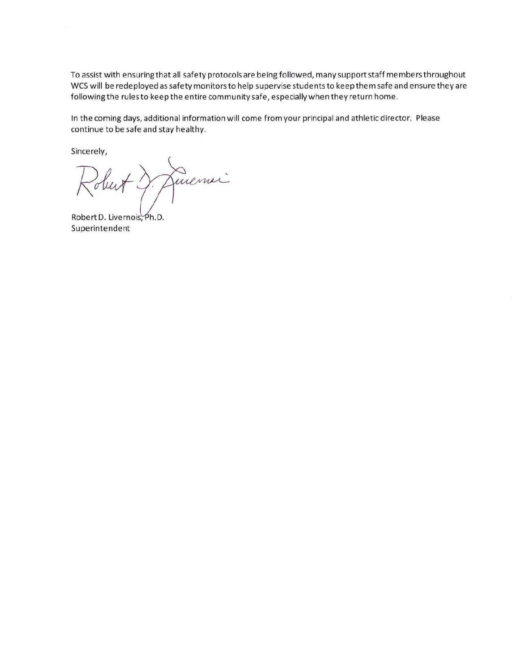To assist with ensuring that all safety protocols are being followed, many support staff members throughout WCS will be redeployed as safety monitors to help supervise students to keep them safe and ensure they are following the rules to keep the entire community safe, especially when they return home.

In the coming days, additional information will come from your principal and athletic director. Please continue to be safe and stay healthy.

Sincerely,

Robert D. Quiemei

Robert D. Livernois, Superintendent